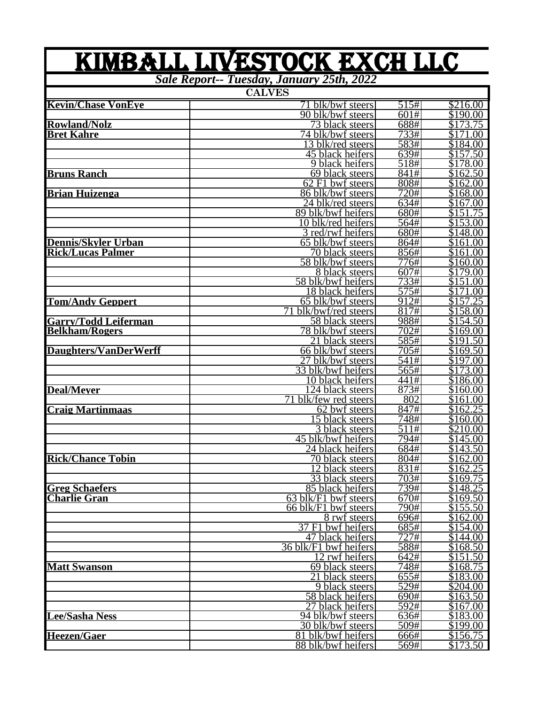|                             | KIMBALL LIVESTOCK EXCH LLC                             |                    |                      |
|-----------------------------|--------------------------------------------------------|--------------------|----------------------|
|                             | Sale Report-- Tuesday, January 25th, 2022              |                    |                      |
|                             | <b>CALVES</b>                                          |                    |                      |
| <b>Kevin/Chase VonEve</b>   | 71 blk/bwf steers                                      | 515#               | \$216.00             |
|                             | 90 blk/bwf steers                                      | 601#               | \$190.00             |
| <b>Rowland/Nolz</b>         | 73 black steers                                        | 688#               | \$173.75             |
| <b>Bret Kahre</b>           | 74 blk/bwf steers                                      | 733#<br>583#       | \$171.00<br>\$184.00 |
|                             | 13 blk/red steers<br>45 black heifers                  | 639#               | \$157.50             |
|                             | 9 black heifers                                        | 518#               | \$178.00             |
| <b>Bruns Ranch</b>          | 69 black steers                                        | 841#               | \$162.50             |
|                             | $62$ F1 bwf steers                                     | 808#               | \$162.00             |
| <b>Brian Huizenga</b>       | 86 blk/bwf steers                                      | 720#               | \$168.00             |
|                             | 24 blk/red steers                                      | 634#               | \$167.00             |
|                             | 89 blk/bwf heifers                                     | 680#               | \$151.75             |
|                             | $10$ blk/red heifers                                   | 564#               | \$153.00             |
|                             | 3 red/rwf heifers                                      | 680#               | \$148.00             |
| Dennis/Skyler Urban         | 65 blk/bwf steers                                      | 864#               | \$161.00             |
| <b>Rick/Lucas Palmer</b>    | 70 black steers                                        | 856#               | \$161.00             |
|                             | 58 blk/bwf steers<br>8 black steers                    | 776#<br>607#       | \$160.00<br>\$179.00 |
|                             | 58 blk/bwf heifers                                     | 733#               | \$151.00             |
|                             | 18 black heifers                                       | 575#               | \$171.00             |
| <b>Tom/Andy Geppert</b>     | 65 blk/bwf steers                                      | 912#               | \$157.25             |
|                             | 71<br>blk/bwf/red steers                               | 817#               | \$158.00             |
| <b>Garry/Todd Leiferman</b> | 58 black steers                                        | 988#               | \$154.50             |
| <b>Belkham/Rogers</b>       | 78 blk/bwf steers                                      | 702#               | \$169.00             |
|                             | 21 black steers                                        | 585#               | \$191.50             |
| Daughters/VanDerWerff       | 66 blk/bwf steers                                      | 705#               | \$169.50             |
|                             | 27 blk/bwf steers                                      | 541#               | \$197.00             |
|                             | 33 blk/bwf heifers                                     | 565#               | \$173.00             |
|                             | 10 black heifers                                       | 441#               | \$186.00             |
| <b>Deal/Mever</b>           | $\overline{124}$ black steers<br>71 blk/few red steers | 873#<br>802        | \$160.00<br>\$161.00 |
| <b>Craig Martinmaas</b>     | $\overline{62}$ bwf steers                             | 847#               | \$162.25             |
|                             | 15 black steers                                        | 748#               | \$160.00             |
|                             | 3 black steers                                         | 511#               | \$210.00             |
|                             | 45 blk/bwf heifers                                     | 794#               | \$145.00             |
|                             | 24 black heifers                                       | 684#               | \$143.50             |
| <b>Rick/Chance Tobin</b>    | 70 black steers                                        | 804#               | \$162.00             |
|                             | 12 black steers                                        | 831#               | \$162.25             |
|                             | 33 black steers                                        | 703#               | \$169.75             |
| <b>Greg Schaefers</b>       | 85 black heifers                                       | $\overline{739}$ # | \$148.25             |
| <b>Charlie Gran</b>         | 63 blk/F1 bwf steers                                   | 670#               | \$169.50             |
|                             | 66 blk/F1 bwf steers<br>8 rwf steers                   | 790#<br>696#       | \$155.50<br>\$162.00 |
|                             | 37 F1 bwf heifers                                      | 685#               | \$154.00             |
|                             | 47 black heifers                                       | 727#               | \$144.00             |
|                             | 36 blk/F1 bwf heifers                                  | 588#               | \$168.50             |
|                             | 12 rwf heifers                                         | 642#               | \$151.50             |
| <b>Matt Swanson</b>         | 69 black steers                                        | 748#               | \$168.75             |
|                             | 21 black steers                                        | 655#               | \$183.00             |
|                             | 9 black steers                                         | 529#               | \$204.00             |
|                             | 58 black heifers                                       | $\sqrt{690}$ #     | \$163.50             |
|                             | 27 black heifers                                       | 592#               | $\overline{$}167.00$ |
| <b>Lee/Sasha Ness</b>       | 94 blk/bwf steers                                      | 636#               | \$183.00             |
| <b>Heezen/Gaer</b>          | 30 blk/bwf steers                                      | 509#               | \$199.00             |
|                             | 81 blk/bwf heifers<br>88 blk/bwf heifers               | 666#<br>569#       | \$156.75<br>\$173.50 |
|                             |                                                        |                    |                      |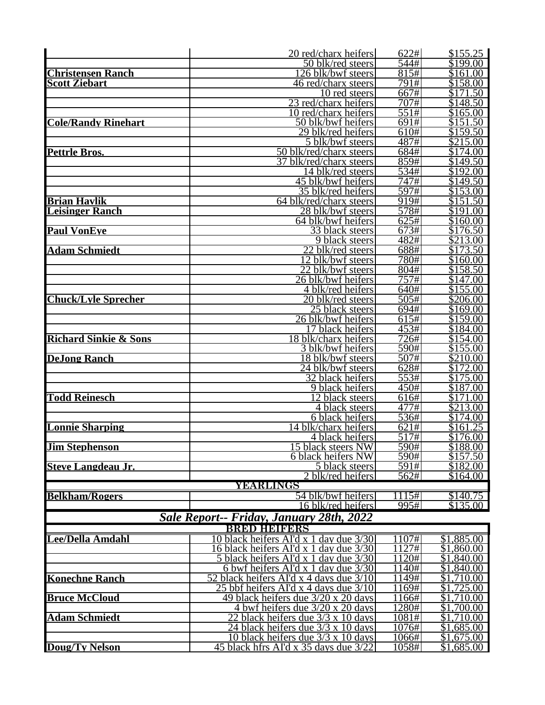|                                  | 20 red/charx heifers                                                            | 622#                       | \$155.25                     |
|----------------------------------|---------------------------------------------------------------------------------|----------------------------|------------------------------|
|                                  | 50 blk/red steers                                                               | 544#                       | $\overline{$199.00}$         |
| <b>Christensen Ranch</b>         | 26 blk/bwf steers                                                               | 815#                       | \$161.00                     |
| <b>Scott Ziebart</b>             | 46 red/charx steers                                                             | 791#                       | \$158.00                     |
|                                  | 10 red steers                                                                   | 667#                       | \$171.50                     |
|                                  | 23 red/charx heifers                                                            | 707#                       | \$148.50                     |
|                                  | 10 red/charx heifers                                                            | 551#                       | $\overline{$}165.00$         |
| <b>Cole/Randy Rinehart</b>       | 50 blk/bwf heifers                                                              | 691#                       | \$151.50                     |
|                                  | 29 blk/red heifers                                                              | 610#                       | \$159.50                     |
|                                  | 5 blk/bwf steers                                                                | 487#                       | \$215.00                     |
| <b>Pettrle Bros.</b>             | 50 blk/red/charx steers<br>37 blk/red/charx steers                              | 684#<br>859#               | $\sqrt{3174.00}$<br>\$149.50 |
|                                  | 14 blk/red steers                                                               | 534#                       | \$192.00                     |
|                                  | 45 blk/bwf heifers                                                              | 747#                       | \$149.50                     |
|                                  | 35 blk/red heifers                                                              | 597#                       | \$153.00                     |
| <b>Brian Havlik</b>              | 64 blk/red/charx steers                                                         | $\overline{919}$ #         | \$151.50                     |
| <b>Leisinger Ranch</b>           | 28 blk/bwf steers                                                               | 578#                       | \$191.00                     |
|                                  | 64 blk/bwf heifers                                                              | 625#                       | \$160.00                     |
| <b>Paul VonEve</b>               | 33 black steers                                                                 | 673#                       | \$176.50                     |
|                                  | 9 black steers                                                                  | 482#                       | \$213.00                     |
| <b>Adam Schmiedt</b>             | 22 blk/red steers                                                               | 688#                       | \$173.50                     |
|                                  | 12 blk/bwf steers                                                               | 780#                       | $\overline{$160.00}$         |
|                                  | 22 blk/bwf steers                                                               | 804#                       | \$158.50                     |
|                                  | 26 blk/bwf heifers                                                              | 757#                       | $\sqrt{3147.00}$             |
|                                  | 4 blk/red heifers                                                               | 640#                       | \$155.00                     |
| <b>Chuck/Lyle Sprecher</b>       | 20 blk/red steers                                                               | 505#                       | \$206.00                     |
|                                  | 25 black steers                                                                 | 694#                       | \$169.00                     |
|                                  | 26 blk/bwf heifers                                                              | 615#                       | \$159.00                     |
|                                  | 17 black heifers                                                                | 453#                       | \$184.00                     |
| <b>Richard Sinkie &amp; Sons</b> | 18 blk/charx heifers                                                            | 726#                       | \$154.00                     |
| <b>DeJong Ranch</b>              | 3 blk/bwf heifers<br>18 blk/bwf steers                                          | $\overline{590}$ #<br>507# | \$155.00<br>\$210.00         |
|                                  | 24 blk/bwf steers                                                               | 628#                       | \$172.00                     |
|                                  | 32 black heifers                                                                | 553#                       | \$175.00                     |
|                                  | 9 black heifers                                                                 | 450#                       | \$187.00                     |
| <b>Todd Reinesch</b>             | $\overline{12}$ black steers                                                    | 616#                       | $\overline{$171.00}$         |
|                                  | 4 black steers                                                                  | 477#                       | \$213.00                     |
|                                  | 6 black heifers                                                                 | 536#                       | \$174.00                     |
| <b>Lonnie Sharping</b>           | 14 blk/charx heifers                                                            | 621#                       | \$161.25                     |
|                                  | 4 black heifers                                                                 | 517#                       | $\overline{$176.00}$         |
| <b>Jim Stephenson</b>            | 15 black steers NW                                                              | 590#                       | \$188.00                     |
|                                  | 6 black heifers NW                                                              | 590#                       | \$157.50                     |
| <b>Steve Langdeau Jr.</b>        | 5 black steers                                                                  | 591#                       | \$182.00                     |
|                                  | 2 blk/red heifers                                                               | 562#                       | \$164.00                     |
|                                  | YEARLINGS                                                                       |                            |                              |
| <b>Belkham/Rogers</b>            | 54 blk/bwf heifers                                                              | 1115#<br>995#              | \$140.75<br>\$135.00         |
|                                  | 16 blk/red heifers                                                              |                            |                              |
|                                  | Sale Report-- Friday, January 28th, 2022                                        |                            |                              |
|                                  | <b>BRED HEIDERS</b>                                                             |                            |                              |
| Lee/Della Amdahl                 | 0 black heifers AI'd x 1 day due 3/30                                           | 107#                       | \$1,885.00                   |
|                                  | 16 black heifers AI'd x 1 day due 3/30<br>5 black heifers AI'd x 1 day due 3/30 | 1127#<br>1120#             | $\overline{$1,860.00}$       |
|                                  | 6 bwf heifers AI'd x 1 day due 3/30                                             | 140#                       | \$1,840.00<br>\$1,840.00     |
| <b>Konechne Ranch</b>            | 52 black heifers AI'd x 4 days due 3/10                                         | 1149#                      | \$1,710.00                   |
|                                  | 25 bbf heifers AI'd x 4 days due 3/10                                           | 1169#                      | \$1,725.00                   |
| <b>Bruce McCloud</b>             | <u>49 black heifers due 3/20 x 20 days</u>                                      | 1166#                      | $\overline{$}1,710.00$       |
|                                  | 4 bwf heifers due 3/20 x 20 days                                                | 1280#                      | \$1,700.00                   |
| <b>Adam Schmiedt</b>             | 22 black heifers due $3/3 \times 10$ days                                       | 1081#                      | \$1,710.00                   |
|                                  | 24 black heifers due $3/3 \times 10$ days                                       | 1076#                      | \$1,685.00                   |
|                                  | 10 black heifers due 3/3 x 10 days                                              | 1066#                      | \$1,675.00                   |
| <b>Doug/Ty Nelson</b>            | 45 black hfrs AI'd x 35 days due 3/22                                           | 1058#                      | \$1,685.00                   |